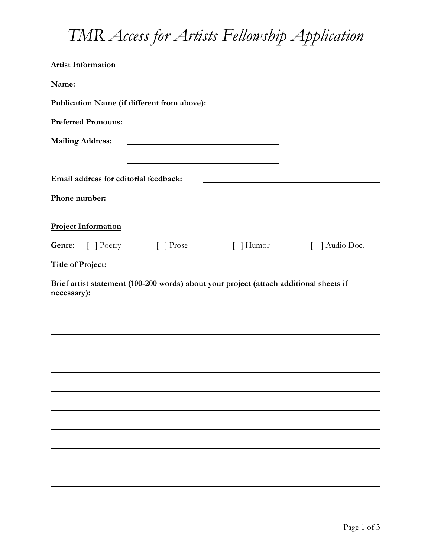## *TMR Access for Artists Fellowship Application*

| <b>Artist Information</b>                                                                                                                                                                                                      |                                                                                                                        |                                                                                                                      |                      |
|--------------------------------------------------------------------------------------------------------------------------------------------------------------------------------------------------------------------------------|------------------------------------------------------------------------------------------------------------------------|----------------------------------------------------------------------------------------------------------------------|----------------------|
| Name: Name and the set of the set of the set of the set of the set of the set of the set of the set of the set of the set of the set of the set of the set of the set of the set of the set of the set of the set of the set o |                                                                                                                        |                                                                                                                      |                      |
|                                                                                                                                                                                                                                |                                                                                                                        |                                                                                                                      |                      |
|                                                                                                                                                                                                                                |                                                                                                                        |                                                                                                                      |                      |
| <b>Mailing Address:</b>                                                                                                                                                                                                        | <u> 1989 - Johann Barbara, martin amerikan basal dan berasal dan berasal dalam basal dalam basal dalam basal dala</u>  |                                                                                                                      |                      |
|                                                                                                                                                                                                                                | <u> 1989 - Johann Stoff, deutscher Stoffen und der Stoffen und der Stoffen und der Stoffen und der Stoffen und der</u> |                                                                                                                      |                      |
| Email address for editorial feedback:                                                                                                                                                                                          |                                                                                                                        | <u> 1989 - Jan Samuel Barbara, margaret e populari e populari e populari e populari e populari e populari e popu</u> |                      |
| Phone number:                                                                                                                                                                                                                  |                                                                                                                        | <u> 1980 - Johann Stone, mars eta bainar eta baina eta baina eta baina eta baina eta baina eta baina eta baina e</u> |                      |
|                                                                                                                                                                                                                                |                                                                                                                        |                                                                                                                      |                      |
| <b>Project Information</b>                                                                                                                                                                                                     |                                                                                                                        |                                                                                                                      |                      |
| <b>Genre:</b> [ ] Poetry [ ] Prose                                                                                                                                                                                             |                                                                                                                        | $\lceil$   Humor                                                                                                     | Audio Doc.<br>$\Box$ |
| Title of Project: <u>and the contract of the contract of Project:</u>                                                                                                                                                          |                                                                                                                        |                                                                                                                      |                      |
| Brief artist statement (100-200 words) about your project (attach additional sheets if<br>necessary):                                                                                                                          |                                                                                                                        |                                                                                                                      |                      |
|                                                                                                                                                                                                                                |                                                                                                                        |                                                                                                                      |                      |
|                                                                                                                                                                                                                                |                                                                                                                        |                                                                                                                      |                      |
|                                                                                                                                                                                                                                |                                                                                                                        |                                                                                                                      |                      |
|                                                                                                                                                                                                                                |                                                                                                                        |                                                                                                                      |                      |
|                                                                                                                                                                                                                                |                                                                                                                        |                                                                                                                      |                      |
|                                                                                                                                                                                                                                |                                                                                                                        |                                                                                                                      |                      |
|                                                                                                                                                                                                                                |                                                                                                                        |                                                                                                                      |                      |
|                                                                                                                                                                                                                                |                                                                                                                        |                                                                                                                      |                      |
|                                                                                                                                                                                                                                |                                                                                                                        |                                                                                                                      |                      |
|                                                                                                                                                                                                                                |                                                                                                                        |                                                                                                                      |                      |
|                                                                                                                                                                                                                                |                                                                                                                        |                                                                                                                      |                      |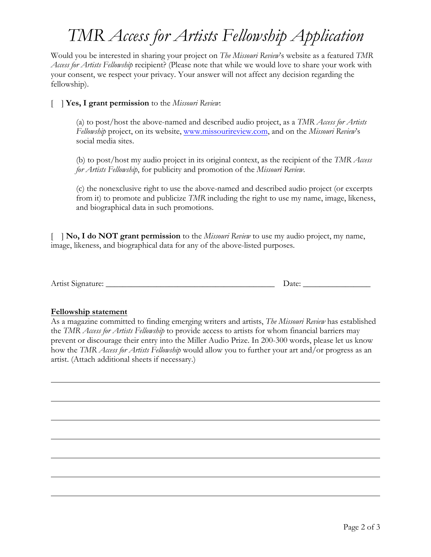## *TMR Access for Artists Fellowship Application*

Would you be interested in sharing your project on *The Missouri Review*'s website as a featured *TMR Access for Artists Fellowship* recipient? (Please note that while we would love to share your work with your consent, we respect your privacy. Your answer will not affect any decision regarding the fellowship).

## [ ] **Yes, I grant permission** to the *Missouri Review*:

(a) to post/host the above-named and described audio project, as a *TMR Access for Artists Fellowship* project, on its website, www.missourireview.com, and on the *Missouri Review*'s social media sites.

(b) to post/host my audio project in its original context, as the recipient of the *TMR Access for Artists Fellowship*, for publicity and promotion of the *Missouri Review*.

(c) the nonexclusive right to use the above-named and described audio project (or excerpts from it) to promote and publicize *TMR* including the right to use my name, image, likeness, and biographical data in such promotions.

[ ] **No, I do NOT grant permission** to the *Missouri Review* to use my audio project, my name, image, likeness, and biographical data for any of the above-listed purposes.

Artist Signature: \_\_\_\_\_\_\_\_\_\_\_\_\_\_\_\_\_\_\_\_\_\_\_\_\_\_\_\_\_\_\_\_\_\_\_\_\_\_\_\_ Date: \_\_\_\_\_\_\_\_\_\_\_\_\_\_\_\_

## **Fellowship statement**

As a magazine committed to finding emerging writers and artists, *The Missouri Review* has established the *TMR Access for Artists Fellowship* to provide access to artists for whom financial barriers may prevent or discourage their entry into the Miller Audio Prize. In 200-300 words, please let us know how the *TMR Access for Artists Fellowship* would allow you to further your art and/or progress as an artist. (Attach additional sheets if necessary.)